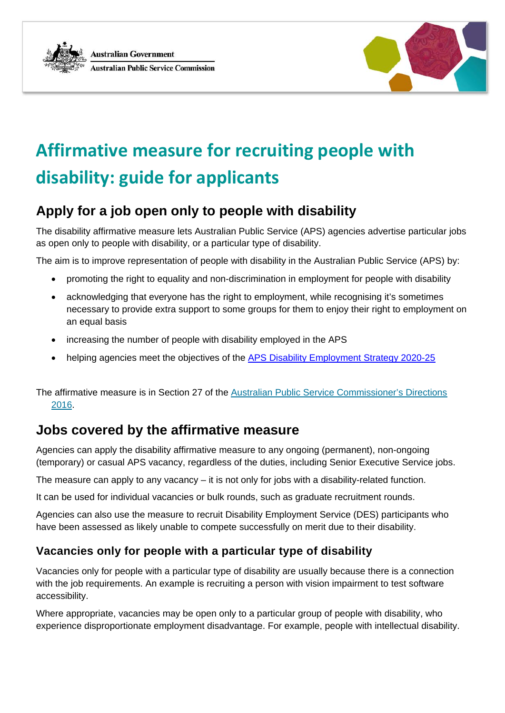



# **[Affirmative measure for recruiting people with](https://legacy.apsc.gov.au/affirmative-measure-recruiting-people-disability-guide-applicants)  [disability: guide for applicants](https://legacy.apsc.gov.au/affirmative-measure-recruiting-people-disability-guide-applicants)**

# **Apply for a job open only to people with disability**

The disability affirmative measure lets Australian Public Service (APS) agencies advertise particular jobs as open only to people with disability, or a particular type of disability.

The aim is to improve representation of people with disability in the Australian Public Service (APS) by:

- promoting the right to equality and non-discrimination in employment for people with disability
- acknowledging that everyone has the right to employment, while recognising it's sometimes necessary to provide extra support to some groups for them to enjoy their right to employment on an equal basis
- increasing the number of people with disability employed in the APS
- helping agencies meet the objectives of the [APS Disability Employment Strategy 2020-25](https://www.apsc.gov.au/publication/australian-public-service-disability-employment-strategy-2020-25)

The affirmative measure is in Section 27 of the Australian Public Service Commissioner's Directions [2016.](https://www.legislation.gov.au/Details/F2016L01430)

## **Jobs covered by the affirmative measure**

Agencies can apply the disability affirmative measure to any ongoing (permanent), non-ongoing (temporary) or casual APS vacancy, regardless of the duties, including Senior Executive Service jobs.

The measure can apply to any vacancy  $-$  it is not only for jobs with a disability-related function.

It can be used for individual vacancies or bulk rounds, such as graduate recruitment rounds.

Agencies can also use the measure to recruit Disability Employment Service (DES) participants who have been assessed as likely unable to compete successfully on merit due to their disability.

## **Vacancies only for people with a particular type of disability**

Vacancies only for people with a particular type of disability are usually because there is a connection with the job requirements. An example is recruiting a person with vision impairment to test software accessibility.

Where appropriate, vacancies may be open only to a particular group of people with disability, who experience disproportionate employment disadvantage. For example, people with intellectual disability.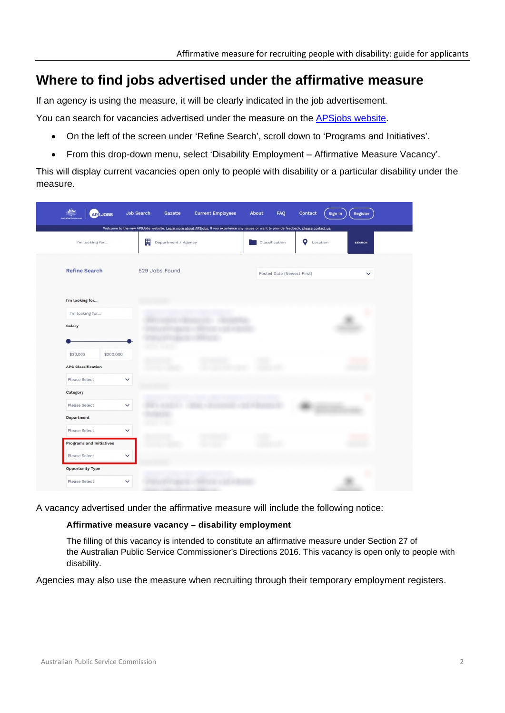## **Where to find jobs advertised under the affirmative measure**

If an agency is using the measure, it will be clearly indicated in the job advertisement.

You can search for vacancies advertised under the measure on the [APSjobs website.](https://www.apsjobs.gov.au/)

- On the left of the screen under 'Refine Search', scroll down to 'Programs and Initiatives'.
- From this drop-down menu, select 'Disability Employment Affirmative Measure Vacancy'.

This will display current vacancies open only to people with disability or a particular disability under the measure.

|                                 | <b>APS JOBS</b> | Job Search<br>Gazette                                                                                                                                                  | <b>Current Employees</b> | About | FAQ                        | Contact       | Sign In<br>Register |
|---------------------------------|-----------------|------------------------------------------------------------------------------------------------------------------------------------------------------------------------|--------------------------|-------|----------------------------|---------------|---------------------|
| I'm looking for                 |                 | Welcome to the new APSJobs website. Learn more about APSjobs, If you experience any issues or want to provide feedback, please contact us.<br>弱<br>Department / Agency |                          |       | Classification             | o<br>Location | <b>SEARCH</b>       |
| <b>Refine Search</b>            |                 | 529 Jobs Found                                                                                                                                                         |                          |       | Posted Date (Newest First) |               | $\check{ }$         |
| I'm looking for                 |                 |                                                                                                                                                                        |                          |       |                            |               |                     |
| I'm looking for<br>Salary       |                 |                                                                                                                                                                        |                          |       |                            |               |                     |
|                                 |                 |                                                                                                                                                                        |                          |       |                            |               |                     |
| \$30,000                        | \$200,000       |                                                                                                                                                                        |                          |       |                            |               |                     |
| <b>APS Classification</b>       |                 |                                                                                                                                                                        |                          |       |                            |               |                     |
| Please Select                   | $\checkmark$    |                                                                                                                                                                        |                          |       |                            |               |                     |
| Category<br>Please Select       | $\checkmark$    |                                                                                                                                                                        |                          |       |                            |               |                     |
| Department                      |                 |                                                                                                                                                                        |                          |       |                            |               |                     |
| Please Select                   | $\checkmark$    |                                                                                                                                                                        |                          |       |                            |               |                     |
| <b>Programs and Initiatives</b> |                 |                                                                                                                                                                        |                          |       |                            |               |                     |
| Please Select                   | $\checkmark$    |                                                                                                                                                                        |                          |       |                            |               |                     |
| Opportunity Type                |                 |                                                                                                                                                                        |                          |       |                            |               |                     |
| Please Select                   | $\checkmark$    |                                                                                                                                                                        |                          |       |                            |               |                     |

A vacancy advertised under the affirmative measure will include the following notice:

#### **Affirmative measure vacancy – disability employment**

The filling of this vacancy is intended to constitute an affirmative measure under Section 27 of the Australian Public Service Commissioner's Directions 2016. This vacancy is open only to people with disability.

Agencies may also use the measure when recruiting through their temporary employment registers.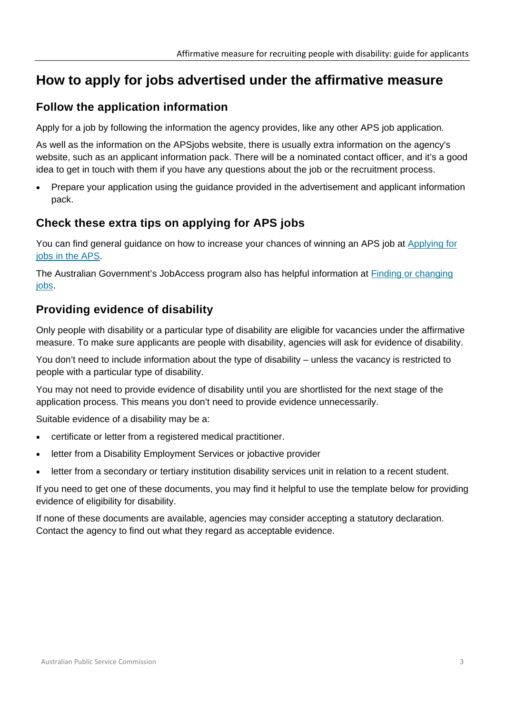# **How to apply for jobs advertised under the affirmative measure**

## **Follow the application information**

Apply for a job by following the information the agency provides, like any other APS job application.

As well as the information on the APSjobs website, there is usually extra information on the agency's website, such as an applicant information pack. There will be a nominated contact officer, and it's a good idea to get in touch with them if you have any questions about the job or the recruitment process.

• Prepare your application using the guidance provided in the advertisement and applicant information pack.

## **Check these extra tips on applying for APS jobs**

You can find general guidance on how to increase your chances of winning an APS job at [Applying for](https://www.apsc.gov.au/working-aps/joining-aps)  [jobs in the APS.](https://www.apsc.gov.au/working-aps/joining-aps)

The Australian Government's JobAccess program also has helpful information at [Finding or changing](https://www.jobaccess.gov.au/people-with-disability/available-support/151)  [jobs.](https://www.jobaccess.gov.au/people-with-disability/available-support/151)

## **Providing evidence of disability**

Only people with disability or a particular type of disability are eligible for vacancies under the affirmative measure. To make sure applicants are people with disability, agencies will ask for evidence of disability.

You don't need to include information about the type of disability – unless the vacancy is restricted to people with a particular type of disability.

You may not need to provide evidence of disability until you are shortlisted for the next stage of the application process. This means you don't need to provide evidence unnecessarily.

Suitable evidence of a disability may be a:

- certificate or letter from a registered medical practitioner.
- letter from a Disability Employment Services or jobactive provider
- letter from a secondary or tertiary institution disability services unit in relation to a recent student.

If you need to get one of these documents, you may find it helpful to use the template below for providing evidence of eligibility for disability.

If none of these documents are available, agencies may consider accepting a statutory declaration. Contact the agency to find out what they regard as acceptable evidence.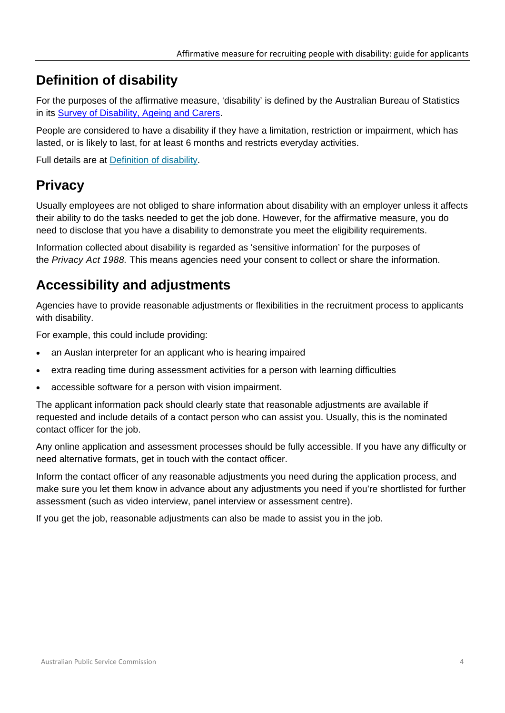# **Definition of disability**

For the purposes of the affirmative measure, 'disability' is defined by the Australian Bureau of Statistics in its [Survey of Disability, Ageing and](http://www.abs.gov.au/ausstats/abs@.nsf/Lookup/4430.0Glossary12015) Carers.

People are considered to have a disability if they have a limitation, restriction or impairment, which has lasted, or is likely to last, for at least 6 months and restricts everyday activities.

Full details are at **Definition** of disability.

# **Privacy**

Usually employees are not obliged to share information about disability with an employer unless it affects their ability to do the tasks needed to get the job done. However, for the affirmative measure, you do need to disclose that you have a disability to demonstrate you meet the eligibility requirements.

Information collected about disability is regarded as 'sensitive information' for the purposes of the *Privacy Act 1988.* This means agencies need your consent to collect or share the information.

# **Accessibility and adjustments**

Agencies have to provide reasonable adjustments or flexibilities in the recruitment process to applicants with disability.

For example, this could include providing:

- an Auslan interpreter for an applicant who is hearing impaired
- extra reading time during assessment activities for a person with learning difficulties
- accessible software for a person with vision impairment.

The applicant information pack should clearly state that reasonable adjustments are available if requested and include details of a contact person who can assist you. Usually, this is the nominated contact officer for the job.

Any online application and assessment processes should be fully accessible. If you have any difficulty or need alternative formats, get in touch with the contact officer.

Inform the contact officer of any reasonable adjustments you need during the application process, and make sure you let them know in advance about any adjustments you need if you're shortlisted for further assessment (such as video interview, panel interview or assessment centre).

If you get the job, reasonable adjustments can also be made to assist you in the job.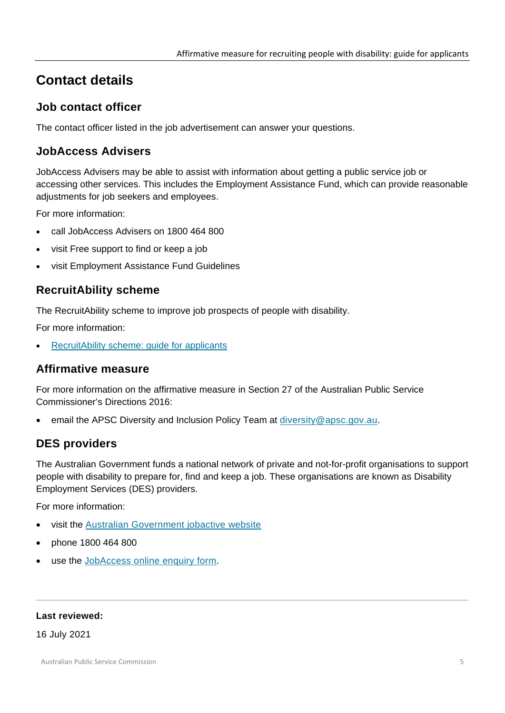# **Contact details**

## **Job contact officer**

The contact officer listed in the job advertisement can answer your questions.

### **JobAccess Advisers**

JobAccess Advisers may be able to assist with information about getting a public service job or accessing other services. This includes the Employment Assistance Fund, which can provide reasonable adjustments for job seekers and employees.

For more information:

- call JobAccess Advisers on 1800 464 800
- visit [Free support to find or keep a job](https://www.jobaccess.gov.au/people-with-disability/free-support-find-or-keep-job)
- visit [Employment Assistance Fund Guidelines](https://www.jobaccess.gov.au/employment-assistance-fund-eaf)

## **RecruitAbility scheme**

The RecruitAbility scheme to improve job prospects of people with disability.

For more information:

[RecruitAbility scheme: guide for applicants](https://www.apsc.gov.au/working-aps/diversity-and-inclusion/disability/recruitability)

#### **Affirmative measure**

For more information on the affirmative measure in Section 27 of the Australian Public Service Commissioner's Directions 2016:

email the APSC Diversity and Inclusion Policy Team at [diversity@apsc.gov.au.](mailto:diversity@apsc.gov.au)

## **DES providers**

The Australian Government funds a national network of private and not-for-profit organisations to support people with disability to prepare for, find and keep a job. These organisations are known as Disability Employment Services (DES) providers.

For more information:

- visit the [Australian Government jobactive website](https://jobsearch.gov.au/serviceproviders/search?jsk=1)
- phone 1800 464 800
- use the [JobAccess online enquiry form.](https://www.jobaccess.gov.au/contacts/online-enquiry-form)

#### **Last reviewed:**

16 July 2021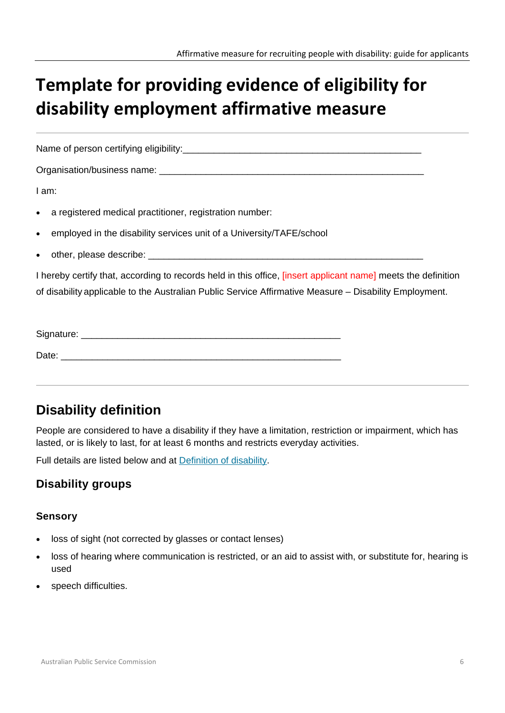# **Template for providing evidence of eligibility for disability employment affirmative measure**

Name of person certifying eligibility:

Organisation/business name: \_\_\_\_\_\_\_\_\_\_\_\_\_\_\_\_\_\_\_\_\_\_\_\_\_\_\_\_\_\_\_\_\_\_\_\_\_\_\_\_\_\_\_\_\_\_\_\_\_\_\_

I am:

- a registered medical practitioner, registration number:
- employed in the disability services unit of a University/TAFE/school
- other, please describe: \_\_\_\_\_\_\_\_\_\_\_\_\_\_\_\_\_\_\_\_\_\_\_\_\_\_\_\_\_\_\_\_\_\_\_\_\_\_\_\_\_\_\_\_\_\_\_\_\_\_\_\_\_

I hereby certify that, according to records held in this office, [insert applicant name] meets the definition of disability applicable to the Australian Public Service Affirmative Measure – Disability Employment.

| Signature: |  |  |  |
|------------|--|--|--|
|            |  |  |  |
| Date:      |  |  |  |

# **Disability definition**

People are considered to have a disability if they have a limitation, restriction or impairment, which has lasted, or is likely to last, for at least 6 months and restricts everyday activities.

Full details are listed below and at [Definition of disability.](https://www.apsc.gov.au/working-aps/diversity-and-inclusion/disability/definition-disability)

## **Disability groups**

#### **Sensory**

- loss of sight (not corrected by glasses or contact lenses)
- loss of hearing where communication is restricted, or an aid to assist with, or substitute for, hearing is used
- speech difficulties.